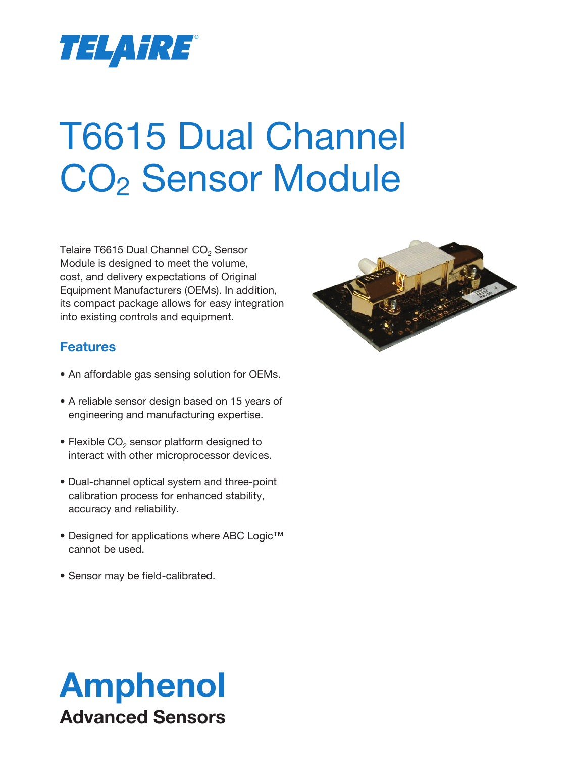

# T6615 Dual Channel CO<sub>2</sub> Sensor Module

Telaire T6615 Dual Channel  $CO<sub>2</sub>$  Sensor Module is designed to meet the volume, cost, and delivery expectations of Original Equipment Manufacturers (OEMs). In addition, its compact package allows for easy integration into existing controls and equipment.

# **Features**

- An affordable gas sensing solution for OEMs.
- A reliable sensor design based on 15 years of engineering and manufacturing expertise.
- Flexible  $CO<sub>2</sub>$  sensor platform designed to interact with other microprocessor devices.
- Dual-channel optical system and three-point calibration process for enhanced stability, accuracy and reliability.
- Designed for applications where ABC Logic™ cannot be used.
- Sensor may be field-calibrated.



# Amphenol Advanced Sensors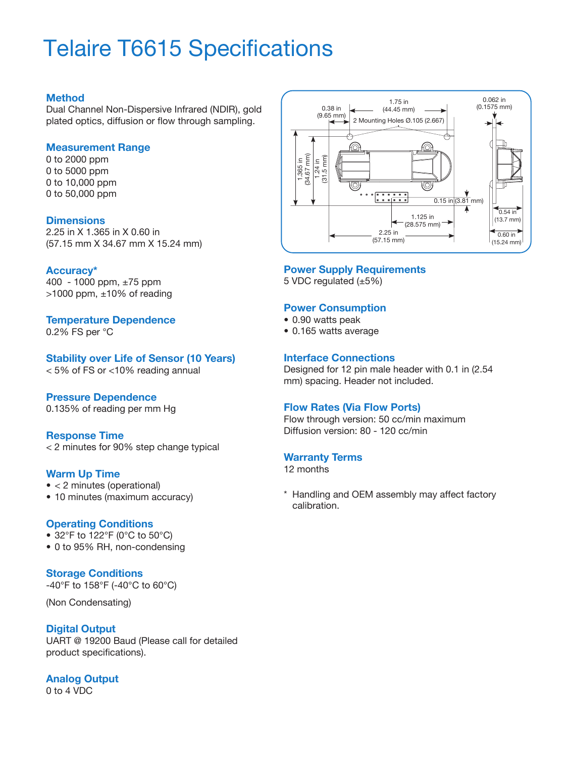# Telaire T6615 Specifications

#### **Method**

Dual Channel Non-Dispersive Infrared (NDIR), gold plated optics, diffusion or flow through sampling.

#### **Measurement Range**

0 to 2000 ppm 0 to 5000 ppm 0 to 10,000 ppm 0 to 50,000 ppm

#### **Dimensions**

2.25 in X 1.365 in X 0.60 in (57.15 mm X 34.67 mm X 15.24 mm)

#### **Accuracy\***

400 - 1000 ppm, ±75 ppm  $>1000$  ppm,  $\pm 10\%$  of reading

#### **Temperature Dependence**

0.2% FS per °C

#### **Stability over Life of Sensor (10 Years)**

< 5% of FS or <10% reading annual

#### **Pressure Dependence**

0.135% of reading per mm Hg

#### **Response Time**

< 2 minutes for 90% step change typical

#### **Warm Up Time**

- < 2 minutes (operational)
- 10 minutes (maximum accuracy)

#### **Operating Conditions**

- 32°F to 122°F (0°C to 50°C)
- 0 to 95% RH, non-condensing

#### **Storage Conditions**

-40°F to 158°F (-40°C to 60°C)

(Non Condensating)

#### **Digital Output**

UART @ 19200 Baud (Please call for detailed product specifications).

#### **Analog Output** 0 to 4 VDC



#### **Power Supply Requirements**

5 VDC regulated (±5%)

#### **Power Consumption**

- 0.90 watts peak
- 0.165 watts average

#### **Interface Connections**

Designed for 12 pin male header with 0.1 in (2.54 mm) spacing. Header not included.

#### **Flow Rates (Via Flow Ports)**

Flow through version: 50 cc/min maximum Diffusion version: 80 - 120 cc/min

#### **Warranty Terms**

12 months

\* Handling and OEM assembly may affect factory calibration.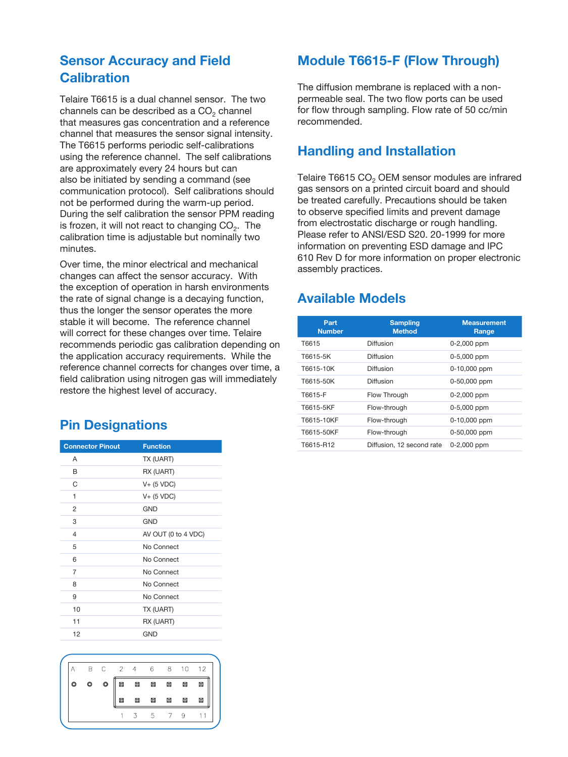# **Sensor Accuracy and Field Calibration**

Telaire T6615 is a dual channel sensor. The two channels can be described as a  $CO<sub>2</sub>$  channel that measures gas concentration and a reference channel that measures the sensor signal intensity. The T6615 performs periodic self-calibrations using the reference channel. The self calibrations are approximately every 24 hours but can also be initiated by sending a command (see communication protocol). Self calibrations should not be performed during the warm-up period. During the self calibration the sensor PPM reading is frozen, it will not react to changing  $CO<sub>2</sub>$ . The calibration time is adjustable but nominally two minutes.

Over time, the minor electrical and mechanical changes can affect the sensor accuracy. With the exception of operation in harsh environments the rate of signal change is a decaying function, thus the longer the sensor operates the more stable it will become. The reference channel will correct for these changes over time. Telaire recommends periodic gas calibration depending on the application accuracy requirements. While the reference channel corrects for changes over time, a field calibration using nitrogen gas will immediately restore the highest level of accuracy.

## **Pin Designations**

| <b>Connector Pinout</b> | <b>Function</b>     |
|-------------------------|---------------------|
| A                       | TX (UART)           |
| В                       | RX (UART)           |
| C                       | $V+$ (5 VDC)        |
| 1                       | $V+$ (5 VDC)        |
| 2                       | <b>GND</b>          |
| 3                       | <b>GND</b>          |
| $\overline{4}$          | AV OUT (0 to 4 VDC) |
| 5                       | No Connect          |
| 6                       | No Connect          |
| $\overline{7}$          | No Connect          |
| 8                       | No Connect          |
| 9                       | No Connect          |
| 10                      | TX (UART)           |
| 11                      | RX (UART)           |
| 12                      | <b>GND</b>          |



### **Module T6615-F (Flow Through)**

The diffusion membrane is replaced with a nonpermeable seal. The two flow ports can be used for flow through sampling. Flow rate of 50 cc/min recommended.

### **Handling and Installation**

Telaire T6615 CO<sub>2</sub> OEM sensor modules are infrared gas sensors on a printed circuit board and should be treated carefully. Precautions should be taken to observe specified limits and prevent damage from electrostatic discharge or rough handling. Please refer to ANSI/ESD S20. 20-1999 for more information on preventing ESD damage and IPC 610 Rev D for more information on proper electronic assembly practices.

# **Available Models**

| Part<br><b>Number</b> | <b>Sampling</b><br><b>Method</b> | <b>Measurement</b><br>Range |
|-----------------------|----------------------------------|-----------------------------|
| T6615                 | Diffusion                        | 0-2,000 ppm                 |
| T6615-5K              | Diffusion                        | 0-5,000 ppm                 |
| T6615-10K             | Diffusion                        | 0-10,000 ppm                |
| T6615-50K             | Diffusion                        | 0-50,000 ppm                |
| T6615-F               | Flow Through                     | 0-2,000 ppm                 |
| T6615-5KF             | Flow-through                     | 0-5,000 ppm                 |
| T6615-10KF            | Flow-through                     | 0-10,000 ppm                |
| T6615-50KF            | Flow-through                     | 0-50,000 ppm                |
| T6615-R12             | Diffusion, 12 second rate        | $0 - 2,000$ ppm             |